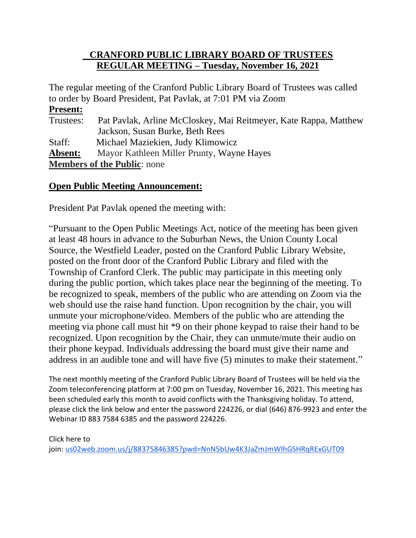### **CRANFORD PUBLIC LIBRARY BOARD OF TRUSTEES REGULAR MEETING – Tuesday, November 16, 2021**

The regular meeting of the Cranford Public Library Board of Trustees was called to order by Board President, Pat Pavlak, at 7:01 PM via Zoom **Present:** Trustees: Pat Pavlak, Arline McCloskey, Mai Reitmeyer, Kate Rappa, Matthew Jackson, Susan Burke, Beth Rees Staff: Michael Maziekien, Judy Klimowicz **Absent:** Mayor Kathleen Miller Prunty, Wayne Hayes **Members of the Public**: none

#### **Open Public Meeting Announcement:**

President Pat Pavlak opened the meeting with:

"Pursuant to the Open Public Meetings Act, notice of the meeting has been given at least 48 hours in advance to the Suburban News, the Union County Local Source, the Westfield Leader, posted on the Cranford Public Library Website, posted on the front door of the Cranford Public Library and filed with the Township of Cranford Clerk. The public may participate in this meeting only during the public portion, which takes place near the beginning of the meeting. To be recognized to speak, members of the public who are attending on Zoom via the web should use the raise hand function. Upon recognition by the chair, you will unmute your microphone/video. Members of the public who are attending the meeting via phone call must hit \*9 on their phone keypad to raise their hand to be recognized. Upon recognition by the Chair, they can unmute/mute their audio on their phone keypad. Individuals addressing the board must give their name and address in an audible tone and will have five (5) minutes to make their statement."

The next monthly meeting of the Cranford Public Library Board of Trustees will be held via the Zoom teleconferencing platform at 7:00 pm on Tuesday, November 16, 2021. This meeting has been scheduled early this month to avoid conflicts with the Thanksgiving holiday. To attend, please click the link below and enter the password 224226, or dial (646) 876-9923 and enter the Webinar ID 883 7584 6385 and the password 224226.

Click here to join: [us02web.zoom.us/j/88375846385?pwd=NnN5bUw4K3JaZmJmWlhGSHRqRExGUT09](http://us02web.zoom.us/j/88375846385?pwd=NnN5bUw4K3JaZmJmWlhGSHRqRExGUT09)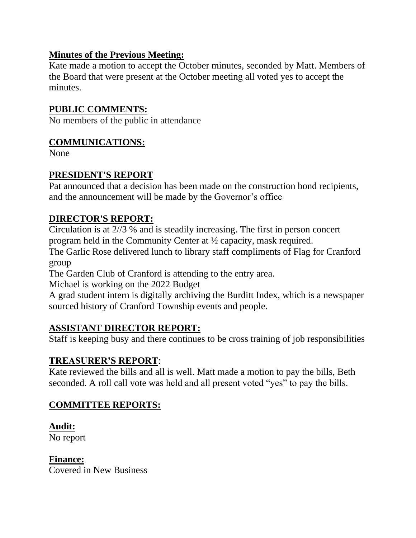### **Minutes of the Previous Meeting:**

Kate made a motion to accept the October minutes, seconded by Matt. Members of the Board that were present at the October meeting all voted yes to accept the minutes.

### **PUBLIC COMMENTS:**

No members of the public in attendance

#### **COMMUNICATIONS:**

None

### **PRESIDENT'S REPORT**

Pat announced that a decision has been made on the construction bond recipients, and the announcement will be made by the Governor's office

### **DIRECTOR'S REPORT:**

Circulation is at 2//3 % and is steadily increasing. The first in person concert program held in the Community Center at ½ capacity, mask required.

The Garlic Rose delivered lunch to library staff compliments of Flag for Cranford group

The Garden Club of Cranford is attending to the entry area.

Michael is working on the 2022 Budget

A grad student intern is digitally archiving the Burditt Index, which is a newspaper sourced history of Cranford Township events and people.

### **ASSISTANT DIRECTOR REPORT:**

Staff is keeping busy and there continues to be cross training of job responsibilities

### **TREASURER'S REPORT**:

Kate reviewed the bills and all is well. Matt made a motion to pay the bills, Beth seconded. A roll call vote was held and all present voted "yes" to pay the bills.

### **COMMITTEE REPORTS:**

### **Audit:**

No report

**Finance:**

Covered in New Business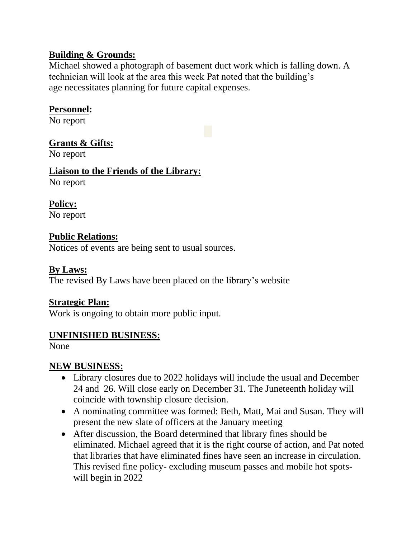### **Building & Grounds:**

Michael showed a photograph of basement duct work which is falling down. A technician will look at the area this week Pat noted that the building's age necessitates planning for future capital expenses.

### **Personnel:**

No report

### **Grants & Gifts:**

No report

## **Liaison to the Friends of the Library:**

No report

**Policy:** No report

### **Public Relations:**

Notices of events are being sent to usual sources.

### **By Laws:**

The revised By Laws have been placed on the library's website

### **Strategic Plan:**

Work is ongoing to obtain more public input.

### **UNFINISHED BUSINESS:**

None

### **NEW BUSINESS:**

- Library closures due to 2022 holidays will include the usual and December 24 and 26. Will close early on December 31. The Juneteenth holiday will coincide with township closure decision.
- A nominating committee was formed: Beth, Matt, Mai and Susan. They will present the new slate of officers at the January meeting
- After discussion, the Board determined that library fines should be eliminated. Michael agreed that it is the right course of action, and Pat noted that libraries that have eliminated fines have seen an increase in circulation. This revised fine policy- excluding museum passes and mobile hot spotswill begin in 2022